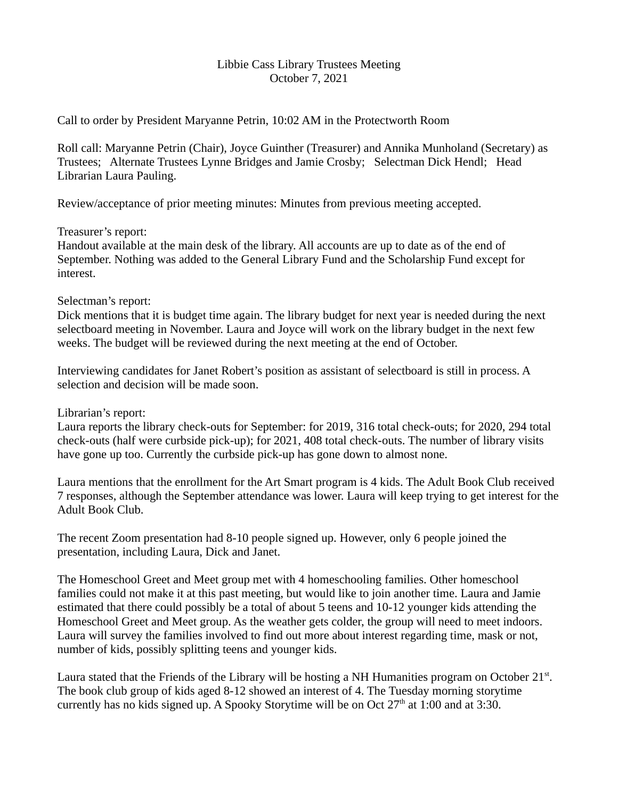### Libbie Cass Library Trustees Meeting October 7, 2021

Call to order by President Maryanne Petrin, 10:02 AM in the Protectworth Room

Roll call: Maryanne Petrin (Chair), Joyce Guinther (Treasurer) and Annika Munholand (Secretary) as Trustees; Alternate Trustees Lynne Bridges and Jamie Crosby; Selectman Dick Hendl; Head Librarian Laura Pauling.

Review/acceptance of prior meeting minutes: Minutes from previous meeting accepted.

# Treasurer's report:

Handout available at the main desk of the library. All accounts are up to date as of the end of September. Nothing was added to the General Library Fund and the Scholarship Fund except for interest.

### Selectman's report:

Dick mentions that it is budget time again. The library budget for next year is needed during the next selectboard meeting in November. Laura and Joyce will work on the library budget in the next few weeks. The budget will be reviewed during the next meeting at the end of October.

Interviewing candidates for Janet Robert's position as assistant of selectboard is still in process. A selection and decision will be made soon.

# Librarian's report:

Laura reports the library check-outs for September: for 2019, 316 total check-outs; for 2020, 294 total check-outs (half were curbside pick-up); for 2021, 408 total check-outs. The number of library visits have gone up too. Currently the curbside pick-up has gone down to almost none.

Laura mentions that the enrollment for the Art Smart program is 4 kids. The Adult Book Club received 7 responses, although the September attendance was lower. Laura will keep trying to get interest for the Adult Book Club.

The recent Zoom presentation had 8-10 people signed up. However, only 6 people joined the presentation, including Laura, Dick and Janet.

The Homeschool Greet and Meet group met with 4 homeschooling families. Other homeschool families could not make it at this past meeting, but would like to join another time. Laura and Jamie estimated that there could possibly be a total of about 5 teens and 10-12 younger kids attending the Homeschool Greet and Meet group. As the weather gets colder, the group will need to meet indoors. Laura will survey the families involved to find out more about interest regarding time, mask or not, number of kids, possibly splitting teens and younger kids.

Laura stated that the Friends of the Library will be hosting a NH Humanities program on October  $21^{st}$ . The book club group of kids aged 8-12 showed an interest of 4. The Tuesday morning storytime currently has no kids signed up. A Spooky Storytime will be on Oct  $27<sup>th</sup>$  at 1:00 and at 3:30.